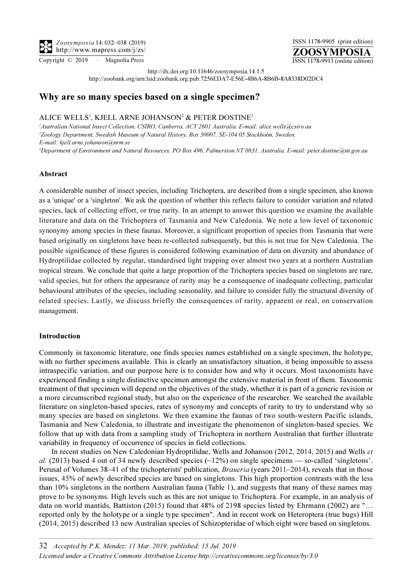Zoosymposia 14: 032–038 (2019) http://www.mapress.com/j/zs/

ZOOSYMPOSIA ISSN 1178-9905 (print edition) Copyright © 2019 · Magnolia Press ISSN 1178-9913 (online edition)

http://dx.doi.org/10.11646/zoosymposia.14.1.5

http://zoobank.org/urn:lsid:zoobank.org:pub:7256EDA7-E56E-4B6A-8B6B-8A8338D02DC4

# Why are so many species based on a single specimen?

## ALICE WELLS<sup>1</sup>, KJELL ARNE JOHANSON<sup>2</sup> & PETER DOSTINE<sup>3</sup>

 Australian National Insect Collection, CSIRO, Canberra, ACT 2601 Australia. E-mail: alice.wells@csiro.au Zoology Department, Swedish Museum of Natural History, Box 50007, SE-104 05 Stockholm, Sweden. [E-mail: kjell.arne.johanson@nrm.se](mailto:kjell.arne.johanson@nrm.se) Department of Environment and Natural Resources, PO Box 496, Palmerston NT 0831, Australia. E-mail: peter.dostine@nt.gov.au

## Abstract

A considerable number of insect species, including Trichoptera, are described from a single specimen, also known as a 'unique' or a 'singleton'. We ask the question of whether this reflects failure to consider variation and related species, lack of collecting effort, or true rarity. In an attempt to answer this question we examine the available literature and data on the Trichoptera of Tasmania and New Caledonia. We note a low level of taxonomic synonymy among species in these faunas. Moreover, a significant proportion of species from Tasmania that were based originally on singletons have been re-collected subsequently, but this is not true for New Caledonia. The possible significance of these figures is considered following examination of data on diversity and abundance of Hydroptilidae collected by regular, standardised light trapping over almost two years at a northern Australian tropical stream. We conclude that quite a large proportion of the Trichoptera species based on singletons are rare, valid species, but for others the appearance of rarity may be a consequence of inadequate collecting, particular behavioural attributes of the species, including seasonality, and failure to consider fully the structural diversity of related species. Lastly, we discuss briefly the consequences of rarity, apparent or real, on conservation management.

#### Introduction

Commonly in taxonomic literature, one finds species names established on a single specimen, the holotype, with no further specimens available. This is clearly an unsatisfactory situation, it being impossible to assess intraspecific variation, and our purpose here is to consider how and why it occurs. Most taxonomists have experienced finding a single distinctive specimen amongst the extensive material in front of them. Taxonomic treatment of that specimen will depend on the objectives of the study, whether it is part of a generic revision or a more circumscribed regional study, but also on the experience of the researcher. We searched the available literature on singleton-based species, rates of synonymy and concepts of rarity to try to understand why so many species are based on singletons. We then examine the faunas of two south-western Pacific islands, Tasmania and New Caledonia, to illustrate and investigate the phenomenon of singleton-based species. We follow that up with data from a sampling study of Trichoptera in northern Australian that further illustrate variability in frequency of occurrence of species in field collections.

In recent studies on New Caledonian Hydroptilidae, Wells and Johanson (2012, 2014, 2015) and Wells et al. (2013) based 4 out of 34 newly described species ( $\sim$ 12%) on single specimens — so-called 'singletons'. Perusal of Volumes 38–41 of the trichopterists' publication, Braueria (years 2011–2014), reveals that in those issues, 45% of newly described species are based on singletons. This high proportion contrasts with the less than 10% singletons in the northern Australian fauna (Table 1), and suggests that many of these names may prove to be synonyms. High levels such as this are not unique to Trichoptera. For example, in an analysis of data on world mantids, Battiston (2015) found that 48% of 2198 species listed by Ehrmann (2002) are "… reported only by the holotype or a single type specimen". And in recent work on Heteroptera (true bugs) Hill (2014, 2015) described 13 new Australian species of Schizopteridae of which eight were based on singletons.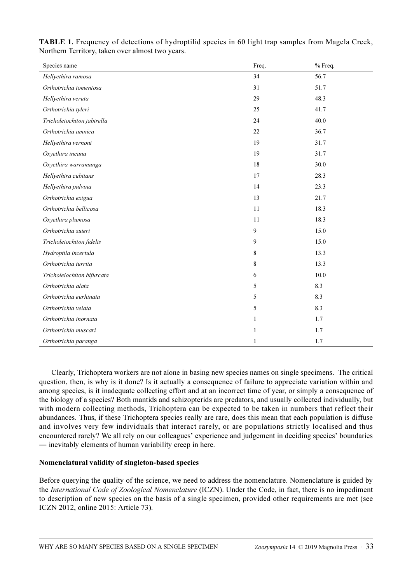| Species name               | Freq.        | % Freq. |
|----------------------------|--------------|---------|
| Hellyethira ramosa         | 34           | 56.7    |
| Orthotrichia tomentosa     | 31           | 51.7    |
| Hellyethira veruta         | 29           | 48.3    |
| Orthotrichia tyleri        | 25           | 41.7    |
| Tricholeiochiton jabirella | 24           | 40.0    |
| Orthotrichia amnica        | 22           | 36.7    |
| Hellyethira vernoni        | 19           | 31.7    |
| Oxyethira incana           | 19           | 31.7    |
| Oxyethira warramunga       | 18           | 30.0    |
| Hellyethira cubitans       | 17           | 28.3    |
| Hellyethira pulvina        | 14           | 23.3    |
| Orthotrichia exigua        | 13           | 21.7    |
| Orthotrichia bellicosa     | 11           | 18.3    |
| Oxyethira plumosa          | 11           | 18.3    |
| Orthotrichia suteri        | 9            | 15.0    |
| Tricholeiochiton fidelis   | $\mathbf{9}$ | 15.0    |
| Hydroptila incertula       | 8            | 13.3    |
| Orthotrichia turrita       | $\bf 8$      | 13.3    |
| Tricholeiochiton bifurcata | 6            | 10.0    |
| Orthotrichia alata         | 5            | 8.3     |
| Orthotrichia eurhinata     | 5            | 8.3     |
| Orthotrichia velata        | 5            | 8.3     |
| Orthotrichia inornata      | $\mathbf{1}$ | 1.7     |
| Orthotrichia muscari       | $\mathbf{1}$ | 1.7     |
| Orthotrichia paranga       | $\mathbf{1}$ | 1.7     |

TABLE 1. Frequency of detections of hydroptilid species in 60 light trap samples from Magela Creek, Northern Territory, taken over almost two years.

Clearly, Trichoptera workers are not alone in basing new species names on single specimens. The critical question, then, is why is it done? Is it actually a consequence of failure to appreciate variation within and among species, is it inadequate collecting effort and at an incorrect time of year, or simply a consequence of the biology of a species? Both mantids and schizopterids are predators, and usually collected individually, but with modern collecting methods, Trichoptera can be expected to be taken in numbers that reflect their abundances. Thus, if these Trichoptera species really are rare, does this mean that each population is diffuse and involves very few individuals that interact rarely, or are populations strictly localised and thus encountered rarely? We all rely on our colleagues' experience and judgement in deciding species' boundaries ― inevitably elements of human variability creep in here.

## Nomenclatural validity of singleton-based species

Before querying the quality of the science, we need to address the nomenclature. Nomenclature is guided by the International Code of Zoological Nomenclature (ICZN). Under the Code, in fact, there is no impediment to description of new species on the basis of a single specimen, provided other requirements are met (see ICZN 2012, online 2015: Article 73).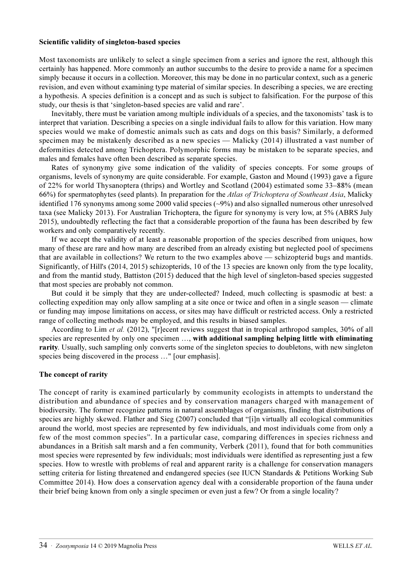#### Scientific validity of singleton-based species

Most taxonomists are unlikely to select a single specimen from a series and ignore the rest, although this certainly has happened. More commonly an author succumbs to the desire to provide a name for a specimen simply because it occurs in a collection. Moreover, this may be done in no particular context, such as a generic revision, and even without examining type material of similar species. In describing a species, we are erecting a hypothesis. A species definition is a concept and as such is subject to falsification. For the purpose of this study, our thesis is that 'singleton-based species are valid and rare'.

Inevitably, there must be variation among multiple individuals of a species, and the taxonomists' task is to interpret that variation. Describing a species on a single individual fails to allow for this variation. How many species would we make of domestic animals such as cats and dogs on this basis? Similarly, a deformed specimen may be mistakenly described as a new species — Malicky (2014) illustrated a vast number of deformities detected among Trichoptera. Polymorphic forms may be mistaken to be separate species, and males and females have often been described as separate species.

Rates of synonymy give some indication of the validity of species concepts. For some groups of organisms, levels of synonymy are quite considerable. For example, Gaston and Mound (1993) gave a figure of 22% for world Thysanoptera (thrips) and Wortley and Scotland (2004) estimated some 33–88% (mean 66%) for spermatophytes (seed plants). In preparation for the Atlas of Trichoptera of Southeast Asia, Malicky identified 176 synonyms among some 2000 valid species (~9%) and also signalled numerous other unresolved taxa (see Malicky 2013). For Australian Trichoptera, the figure for synonymy is very low, at 5% (ABRS July 2015), undoubtedly reflecting the fact that a considerable proportion of the fauna has been described by few workers and only comparatively recently.

If we accept the validity of at least a reasonable proportion of the species described from uniques, how many of these are rare and how many are described from an already existing but neglected pool of specimens that are available in collections? We return to the two examples above — schizopterid bugs and mantids. Significantly, of Hill's (2014, 2015) schizopterids, 10 of the 13 species are known only from the type locality, and from the mantid study, Battiston (2015) deduced that the high level of singleton-based species suggested that most species are probably not common.

But could it be simply that they are under-collected? Indeed, much collecting is spasmodic at best: a collecting expedition may only allow sampling at a site once or twice and often in a single season — climate or funding may impose limitations on access, or sites may have difficult or restricted access. Only a restricted range of collecting methods may be employed, and this results in biased samples.

According to Lim et al. (2012), "[r]ecent reviews suggest that in tropical arthropod samples, 30% of all species are represented by only one specimen ..., with additional sampling helping little with eliminating rarity. Usually, such sampling only converts some of the singleton species to doubletons, with new singleton species being discovered in the process ..." [our emphasis].

## The concept of rarity

The concept of rarity is examined particularly by community ecologists in attempts to understand the distribution and abundance of species and by conservation managers charged with management of biodiversity. The former recognize patterns in natural assemblages of organisms, finding that distributions of species are highly skewed. Flather and Sieg (2007) concluded that "[i]n virtually all ecological communities around the world, most species are represented by few individuals, and most individuals come from only a few of the most common species". In a particular case, comparing differences in species richness and abundances in a British salt marsh and a fen community, Verberk (2011), found that for both communities most species were represented by few individuals; most individuals were identified as representing just a few species. How to wrestle with problems of real and apparent rarity is a challenge for conservation managers setting criteria for listing threatened and endangered species (see IUCN Standards & Petitions Working Sub Committee 2014). How does a conservation agency deal with a considerable proportion of the fauna under their brief being known from only a single specimen or even just a few? Or from a single locality?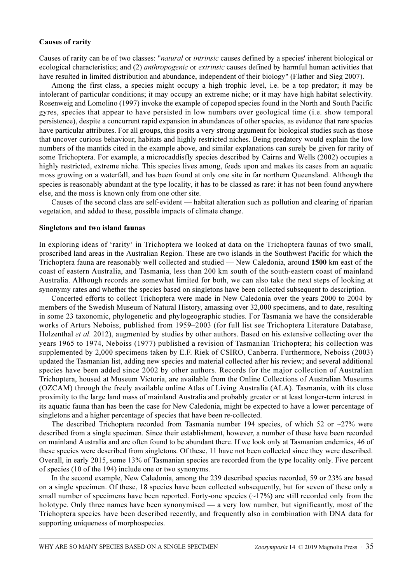#### Causes of rarity

Causes of rarity can be of two classes: "natural or intrinsic causes defined by a species' inherent biological or ecological characteristics; and (2) *anthropogenic* or *extrinsic* causes defined by harmful human activities that have resulted in limited distribution and abundance, independent of their biology" (Flather and Sieg 2007).

Among the first class, a species might occupy a high trophic level, i.e. be a top predator; it may be intolerant of particular conditions; it may occupy an extreme niche; or it may have high habitat selectivity. Rosenweig and Lomolino (1997) invoke the example of copepod species found in the North and South Pacific gyres, species that appear to have persisted in low numbers over geological time (i.e. show temporal persistence), despite a concurrent rapid expansion in abundances of other species, as evidence that rare species have particular attributes. For all groups, this posits a very strong argument for biological studies such as those that uncover curious behaviour, habitats and highly restricted niches. Being predatory would explain the low numbers of the mantids cited in the example above, and similar explanations can surely be given for rarity of some Trichoptera. For example, a microcaddisfly species described by Cairns and Wells (2002) occupies a highly restricted, extreme niche. This species lives among, feeds upon and makes its cases from an aquatic moss growing on a waterfall, and has been found at only one site in far northern Queensland. Although the species is reasonably abundant at the type locality, it has to be classed as rare: it has not been found anywhere else, and the moss is known only from one other site.

Causes of the second class are self-evident — habitat alteration such as pollution and clearing of riparian vegetation, and added to these, possible impacts of climate change.

#### Singletons and two island faunas

In exploring ideas of 'rarity' in Trichoptera we looked at data on the Trichoptera faunas of two small, proscribed land areas in the Australian Region. These are two islands in the Southwest Pacific for which the Trichoptera fauna are reasonably well collected and studied — New Caledonia, around 1500 km east of the coast of eastern Australia, and Tasmania, less than 200 km south of the south-eastern coast of mainland Australia. Although records are somewhat limited for both, we can also take the next steps of looking at synonymy rates and whether the species based on singletons have been collected subsequent to description.

Concerted efforts to collect Trichoptera were made in New Caledonia over the years 2000 to 2004 by members of the Swedish Museum of Natural History, amassing over 32,000 specimens, and to date, resulting in some 23 taxonomic, phylogenetic and phylogeographic studies. For Tasmania we have the considerable works of Arturs Neboiss, published from 1959–2003 (for full list see Trichoptera Literature Database, Holzenthal *et al.* 2012), augmented by studies by other authors. Based on his extensive collecting over the years 1965 to 1974, Neboiss (1977) published a revision of Tasmanian Trichoptera; his collection was supplemented by 2,000 specimens taken by E.F. Riek of CSIRO, Canberra. Furthermore, Neboiss (2003) updated the Tasmanian list, adding new species and material collected after his review; and several additional species have been added since 2002 by other authors. Records for the major collection of Australian Trichoptera, housed at Museum Victoria, are available from the Online Collections of Australian Museums (OZCAM) through the freely available online Atlas of Living Australia (ALA). Tasmania, with its close proximity to the large land mass of mainland Australia and probably greater or at least longer-term interest in its aquatic fauna than has been the case for New Caledonia, might be expected to have a lower percentage of singletons and a higher percentage of species that have been re-collected.

The described Trichoptera recorded from Tasmania number 194 species, of which 52 or  $\sim$ 27% were described from a single specimen. Since their establishment, however, a number of these have been recorded on mainland Australia and are often found to be abundant there. If we look only at Tasmanian endemics, 46 of these species were described from singletons. Of these, 11 have not been collected since they were described. Overall, in early 2015, some 13% of Tasmanian species are recorded from the type locality only. Five percent of species (10 of the 194) include one or two synonyms.

In the second example, New Caledonia, among the 239 described species recorded, 59 or 23% are based on a single specimen. Of these, 18 species have been collected subsequently, but for seven of these only a small number of specimens have been reported. Forty-one species  $(\sim 17\%)$  are still recorded only from the holotype. Only three names have been synonymised — a very low number, but significantly, most of the Trichoptera species have been described recently, and frequently also in combination with DNA data for supporting uniqueness of morphospecies.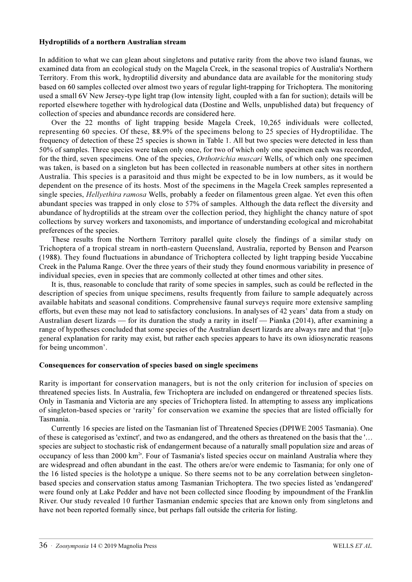#### Hydroptilids of a northern Australian stream

In addition to what we can glean about singletons and putative rarity from the above two island faunas, we examined data from an ecological study on the Magela Creek, in the seasonal tropics of Australia's Northern Territory. From this work, hydroptilid diversity and abundance data are available for the monitoring study based on 60 samples collected over almost two years of regular light-trapping for Trichoptera. The monitoring used a small 6V New Jersey-type light trap (low intensity light, coupled with a fan for suction); details will be reported elsewhere together with hydrological data (Dostine and Wells, unpublished data) but frequency of collection of species and abundance records are considered here.

Over the 22 months of light trapping beside Magela Creek, 10,265 individuals were collected, representing 60 species. Of these, 88.9% of the specimens belong to 25 species of Hydroptilidae. The frequency of detection of these 25 species is shown in Table 1. All but two species were detected in less than 50% of samples. Three species were taken only once, for two of which only one specimen each was recorded, for the third, seven specimens. One of the species, *Orthotrichia muscari* Wells, of which only one specimen was taken, is based on a singleton but has been collected in reasonable numbers at other sites in northern Australia. This species is a parasitoid and thus might be expected to be in low numbers, as it would be dependent on the presence of its hosts. Most of the specimens in the Magela Creek samples represented a single species, *Hellyethira ramosa* Wells, probably a feeder on filamentous green algae. Yet even this often abundant species was trapped in only close to 57% of samples. Although the data reflect the diversity and abundance of hydroptilids at the stream over the collection period, they highlight the chancy nature of spot collections by survey workers and taxonomists, and importance of understanding ecological and microhabitat preferences of the species.

These results from the Northern Territory parallel quite closely the findings of a similar study on Trichoptera of a tropical stream in north-eastern Queensland, Australia, reported by Benson and Pearson (1988). They found fluctuations in abundance of Trichoptera collected by light trapping beside Yuccabine Creek in the Paluma Range. Over the three years of their study they found enormous variability in presence of individual species, even in species that are commonly collected at other times and other sites.

It is, thus, reasonable to conclude that rarity of some species in samples, such as could be reflected in the description of species from unique specimens, results frequently from failure to sample adequately across available habitats and seasonal conditions. Comprehensive faunal surveys require more extensive sampling efforts, but even these may not lead to satisfactory conclusions. In analyses of 42 years' data from a study on Australian desert lizards — for its duration the study a rarity in itself — Pianka (2014), after examining a range of hypotheses concluded that some species of the Australian desert lizards are always rare and that '[n]o general explanation for rarity may exist, but rather each species appears to have its own idiosyncratic reasons for being uncommon'.

## Consequences for conservation of species based on single specimens

Rarity is important for conservation managers, but is not the only criterion for inclusion of species on threatened species lists. In Australia, few Trichoptera are included on endangered or threatened species lists. Only in Tasmania and Victoria are any species of Trichoptera listed. In attempting to assess any implications of singleton-based species or 'rarity' for conservation we examine the species that are listed officially for Tasmania.

Currently 16 species are listed on the Tasmanian list of Threatened Species (DPIWE 2005 Tasmania). One of these is categorised as 'extinct', and two as endangered, and the others as threatened on the basis that the '… species are subject to stochastic risk of endangerment because of a naturally small population size and areas of occupancy of less than 2000 km<sup>2</sup>. Four of Tasmania's listed species occur on mainland Australia where they are widespread and often abundant in the east. The others are/or were endemic to Tasmania; for only one of the 16 listed species is the holotype a unique. So there seems not to be any correlation between singletonbased species and conservation status among Tasmanian Trichoptera. The two species listed as 'endangered' were found only at Lake Pedder and have not been collected since flooding by impoundment of the Franklin River. Our study revealed 10 further Tasmanian endemic species that are known only from singletons and have not been reported formally since, but perhaps fall outside the criteria for listing.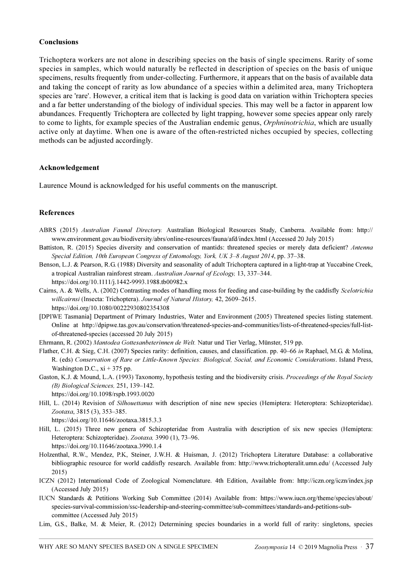## Conclusions

Trichoptera workers are not alone in describing species on the basis of single specimens. Rarity of some species in samples, which would naturally be reflected in description of species on the basis of unique specimens, results frequently from under-collecting. Furthermore, it appears that on the basis of available data and taking the concept of rarity as low abundance of a species within a delimited area, many Trichoptera species are 'rare'. However, a critical item that is lacking is good data on variation within Trichoptera species and a far better understanding of the biology of individual species. This may well be a factor in apparent low abundances. Frequently Trichoptera are collected by light trapping, however some species appear only rarely to come to lights, for example species of the Australian endemic genus, Orphninotrichia, which are usually active only at daytime. When one is aware of the often-restricted niches occupied by species, collecting methods can be adjusted accordingly.

## Acknowledgement

Laurence Mound is acknowledged for his useful comments on the manuscript.

## References

- ABRS (2015) Australian Faunal Directory. [Australian Biological Resources Study, Canberra. Available from: http://](http://www.environment.gov.au/biodiversity/abrs/online-resources/fauna/afd/home) [www.environment.gov.au/biodiversity/abrs/online-resources/fauna/afd/index.html \(Accessed 20 July 2015\)](http://www.environment.gov.au/biodiversity/abrs/online-resources/fauna/afd/home)
- Battiston, R. (2015) Species diversity and conservation of mantids: threatened species or merely data deficient? Antenna Special Edition, 10th European Congress of Entomology, York, UK 3–8 August 2014, pp. 37–38.
- Benson, L.J. & Pearson, R.G. (1988) Diversity and seasonality of adult Trichoptera captured in a light-trap at Yuccabine Creek, a tropical Australian rainforest stream. Australian Journal of Ecology, 13, 337–344. https://doi.org/10.1111/j.1442-9993.1988.tb00982.x
- Cairns, A. & Wells, A. (2002) Contrasting modes of handling moss for feeding and case-building by the caddisfly Scelotrichia willcairnsi (Insecta: Trichoptera). Journal of Natural History, 42, 2609-2615. <https://doi.org/10.1080/00222930802354308>
- [DPIWE Tasmania] Department of Primary Industries, Water and Environment (2005) Threatened species listing statement. Online at http://dpipwe.tas.gov.au/conservation/threatened-species-and-communities/lists-of-threatened-species/full-listof-threatened-species (accessed 20 July 2015)
- Ehrmann, R. (2002) Mantodea Gottesanbeterinnen de Welt. Natur und Tier Verlag, Münster, 519 pp.
- Flather, C.H. & Sieg, C.H. (2007) Species rarity: definition, causes, and classification. pp. 40–66 in Raphael, M.G. & Molina, R. (eds) Conservation of Rare or Little-Known Species: Biological, Social, and Economic Considerations. Island Press, Washington D.C.,  $xi + 375$  pp.
- Gaston, K.J. & Mound, L.A. (1993) Taxonomy, hypothesis testing and the biodiversity crisis. Proceedings of the Royal Society (B) Biological Sciences, 251, 139–142.
	- https://doi.org/10.1098/rspb.1993.0020
- Hill, L. (2014) Revision of Silhouettanus with description of nine new species (Hemiptera: Heteroptera: Schizopteridae). Zootaxa, 3815 (3), 353–385.

https://doi.org/10.11646/zootaxa.3815.3.3

Hill, L. (2015) Three new genera of Schizopteridae from Australia with description of six new species (Hemiptera: Heteroptera: Schizopteridae). Zootaxa, 3990 (1), 73–96.

https://doi.org/10.11646/zootaxa.3990.1.4

- [Holzenthal, R.W., Mendez, P.K, Steiner, J.W.H. & Huisman, J. \(2012\) Trichoptera Literature Database: a collaborative](http://www.trichopteralit.umn.edu/) bibliographic resource for world caddisfly research. Available from: http://www.trichopteralit.umn.edu/ (Accessed July 2015)
- [ICZN \(2012\) International Code of Zoological Nomenclature. 4th Edition, Available from: http://iczn.org/iczn/index.jsp](http://iczn.org/iczn/index.jsp) (Accessed July 2015)
- [IUCN Standards & Petitions Working Sub Committee \(2014\) Available from: https://www.iucn.org/theme/species/about/](https://www.iucn.org/theme/species/about/species-survival-commission/ssc-leadership-and-steering-committee/sub-committees/standards-and-petitions-sub-committee) species-survival-commission/ssc-leadership-and-steering-committee/sub-committees/standards-and-petitions-subcommittee (Accessed July 2015)
- Lim, G.S., Balke, M. & Meier, R. (2012) Determining species boundaries in a world full of rarity: singletons, species